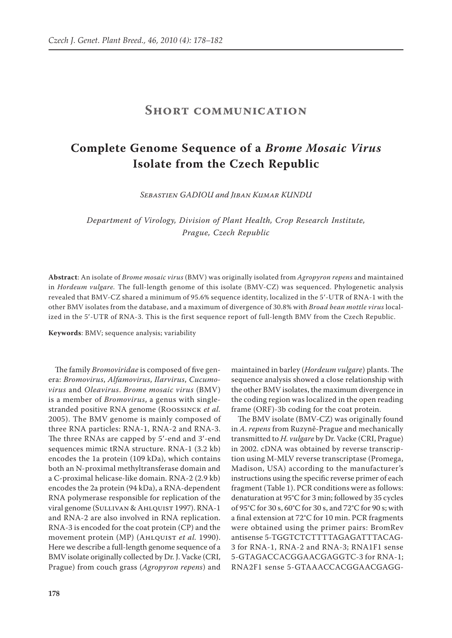## **Short communication**

## **Complete Genome Sequence of a** *Brome Mosaic Virus* **Isolate from the Czech Republic**

*Sebastien Gadiou and Jiban Kumar Kundu*

*Department of Virology, Division of Plant Health, Crop Research Institute, Prague, Czech Republic*

**Abstract**: An isolate of *Brome mosaic virus* (BMV) was originally isolated from *Agropyron repens* and maintained in *Hordeum vulgare.* The full-length genome of this isolate (BMV-CZ) was sequenced. Phylogenetic analysis revealed that BMV-CZ shared a minimum of 95.6% sequence identity, localized in the 5′-UTR of RNA-1 with the other BMV isolates from the database, and a maximum of divergence of 30.8% with *Broad bean mottle virus* localized in the 5′-UTR of RNA-3. This is the first sequence report of full-length BMV from the Czech Republic.

**Keywords**: BMV; sequence analysis; variability

The family *Bromoviridae* is composed of five genera: *Bromovirus*, *Alfamovirus*, *Ilarvirus*, *Cucumovirus* and *Oleavirus*. *Brome mosaic virus* (BMV) is a member of *Bromovirus*, a genus with singlestranded positive RNA genome (Roossinck *et al.* 2005). The BMV genome is mainly composed of three RNA particles: RNA-1, RNA-2 and RNA-3. The three RNAs are capped by 5′-end and 3′-end sequences mimic tRNA structure. RNA-1 (3.2 kb) encodes the 1a protein (109 kDa), which contains both an N-proximal methyltransferase domain and a C-proximal helicase-like domain. RNA-2 (2.9 kb) encodes the 2a protein (94 kDa), a RNA-dependent RNA polymerase responsible for replication of the viral genome (Sullivan & Ahlquist 1997). RNA-1 and RNA-2 are also involved in RNA replication. RNA-3 is encoded for the coat protein (CP) and the movement protein (MP) (AHLQUIST *et al.* 1990). Here we describe a full-length genome sequence of a BMV isolate originally collected by Dr. J. Vacke (CRI, Prague) from couch grass (*Agropyron repens*) and

maintained in barley (*Hordeum vulgare*) plants. The sequence analysis showed a close relationship with the other BMV isolates, the maximum divergence in the coding region was localized in the open reading frame (ORF)-3b coding for the coat protein.

The BMV isolate (BMV-CZ) was originally found in *A. repens* from Ruzyně-Prague and mechanically transmitted to *H. vulgare* by Dr. Vacke (CRI, Prague) in 2002. cDNA was obtained by reverse transcription using M-MLV reverse transcriptase (Promega, Madison, USA) according to the manufacturer's instructions using the specific reverse primer of each fragment (Table 1). PCR conditions were as follows: denaturation at 95°C for 3 min; followed by 35 cycles of 95°C for 30 s, 60°C for 30 s, and 72°C for 90 s; with a final extension at 72°C for 10 min. PCR fragments were obtained using the primer pairs: BromRev antisense 5-TGGTCTCTTTTAGAGATTTACAG-3 for RNA-1, RNA-2 and RNA-3; RNA1F1 sense 5-GTAGACCACGGAACGAGGTC-3 for RNA-1; RNA2F1 sense 5-GTAAACCACGGAACGAGG-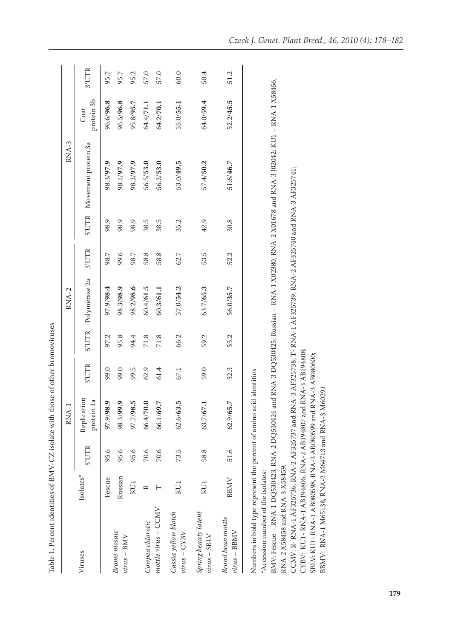| i                                                                  |
|--------------------------------------------------------------------|
|                                                                    |
|                                                                    |
| $-1$ = $-4$ DMAL $-77$ is also with those of other bromovirus<br>: |
|                                                                    |
|                                                                    |
|                                                                    |
|                                                                    |
|                                                                    |
|                                                                    |
| í<br>j                                                             |
|                                                                    |
|                                                                    |
|                                                                    |
|                                                                    |
| ${1 \over 2}$                                                      |
|                                                                    |
|                                                                    |
|                                                                    |
|                                                                    |
|                                                                    |
| 25.111777                                                          |
| ֧֖֖֧֧֧֧֪֪ׅ֧֪֪֪֪֚֚֚֚֚֚֚֚֚֚֚֚֚֚֚֚֚֚֚֚֝֝֓֝֬֝֓֞֝֬֓֓֬֝֓֓֝֬֝֬֝֬֝֬֝֬<br>ĺ |
|                                                                    |
| i                                                                  |
| ļ                                                                  |
|                                                                    |
| -<br>F                                                             |

|                                                                                                                                                                                                                                                                                                                        |             |       | RNA-1                     |            |        | RNA-2         |       |      | RNA-3                                                                                                                                       |                    |       |
|------------------------------------------------------------------------------------------------------------------------------------------------------------------------------------------------------------------------------------------------------------------------------------------------------------------------|-------------|-------|---------------------------|------------|--------|---------------|-------|------|---------------------------------------------------------------------------------------------------------------------------------------------|--------------------|-------|
| Viruses                                                                                                                                                                                                                                                                                                                | Isolates*   | 5'UTR | Replication<br>protein 1a | 3'UTR      | 5'UTR  | Polymerase 2a | 3'UTR |      | 5'UTR Movement protein 3a                                                                                                                   | protein 3b<br>Coat | 3'UTR |
|                                                                                                                                                                                                                                                                                                                        | Fescue      | 95.6  | 97.9/98.9                 | 99.0       | 97.2   | 97.968.4      | 98.7  | 98.9 | 98.3/97.9                                                                                                                                   | 96.6/96.8          | 95.7  |
| Brome mosaic<br>$virus-BMV$                                                                                                                                                                                                                                                                                            | Russian     | 95.6  | 98.3/99.9                 | 99.0       | 95.8   | 98.3/98.9     | 9.6   | 98.9 | 98.1/97.9                                                                                                                                   | 96.5/96.8          | 95.7  |
|                                                                                                                                                                                                                                                                                                                        | KU1         | 95.6  | 5.86/7.70                 | 99.5       | 94.4   | 98.2/98.6     | 98.7  | 98.9 | 98.2/97.9                                                                                                                                   | 95.8/95.7          | 95.2  |
| Cowpea chlorotic                                                                                                                                                                                                                                                                                                       | $\approx$   | 70.6  | 66.4/70.0                 | 62.9       | $71.8$ | 60.4/61.5     | 58.8  | 38.5 | 56.5/53.0                                                                                                                                   | 64.4/71.1          | 57.0  |
| $mottle \ virus - CCMV$                                                                                                                                                                                                                                                                                                |             | 70.6  | 66.1/69.7                 | 61.4       | 71.8   | 60.3/61.1     | 58.8  | 38.5 | 56.2/53.0                                                                                                                                   | 64.2/70.1          | 57.0  |
| Cassia yellow blotch<br>$virus - CYBV$                                                                                                                                                                                                                                                                                 | KU1         | 73.5  | 62.6/63.5                 | 67.1       | 66.2   | 57.0/54.2     | 62.7  | 35.2 | 53.0/49.5                                                                                                                                   | 55.0/55.1          | 60.0  |
| Spring beauty latent<br>$virus - SBLV$                                                                                                                                                                                                                                                                                 | KU1         | 58.8  | 63.7/67.1                 | 59.0       | 59.2   | 63.7/65.3     | 53.5  | 42.9 | 57.4/50.2                                                                                                                                   | 64.0/59.4          | 50.4  |
| Broad bean mottle<br>$virus - BBMV$                                                                                                                                                                                                                                                                                    | <b>BBMV</b> | 51.6  | 62.9/65.7                 | 52.3       | 53.2   | 56.0/35.7     | 52.2  | 30.8 | 51.6/46.7                                                                                                                                   | 52.2/45.5          | 51.2  |
| CCMV: R- RNA-1 AF325736, RNA-2 AF325737 and RNA-3 AF325738; T- RNA-1 AF325739, RNA-2 AF325740 and RNA-3 AF325741;<br>CYBV: KU1- RNA-1 AB194806, RNA-2 AB194807 and RNA-3 AB194808;<br>Numbers in bold type represent the percent of amino acid<br>RNA-2 X58458 and RNA-3 X58459;<br>*Accession number of the isolates: |             |       |                           | identities |        |               |       |      | BMV: Fescue – RNA-1 DQ530423, RNA-2 DQ530424 and RNA-3 DQ530425; Russian – RNA-1 X02380, RNA-2 X01678 and RNA-3 J02042; KU1 – RNA-1 X58456, |                    |       |

SBLV: KU1- RNA-1 AB080598, RNA-2 AB080599 and RNA-3 AB080600;

SBLV: KU1- RNA-1 AB080598, RNA-2 AB080599 and RNA-3 AB080600;<br>BBMV: RNA-1 M65138, RNA-2 M64713 and RNA-3 M60291

BBMV: RNA-1 M65138, RNA-2 M64713 and RNA-3 M60291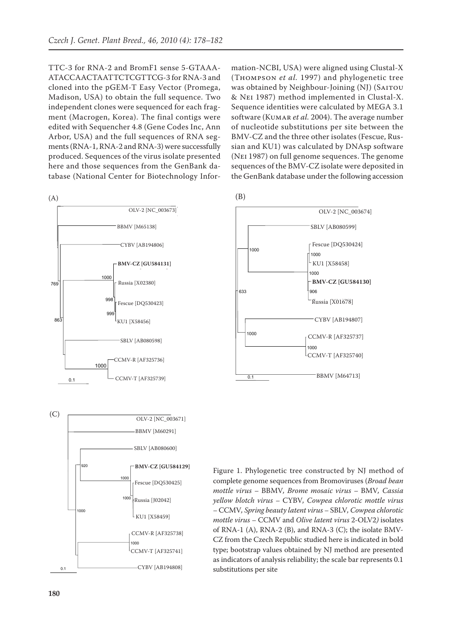TTC-3 for RNA-2 and BromF1 sense 5-GTAAA-ATACCAACTAATTCTCGTTCG-3 for RNA-3 and cloned into the pGEM-T Easy Vector (Promega, Madison, USA) to obtain the full sequence. Two independent clones were sequenced for each fragment (Macrogen, Korea). The final contigs were edited with Sequencher 4.8 (Gene Codes Inc, Ann Arbor, USA) and the full sequences of RNA segments (RNA-1, RNA-2 and RNA-3) were successfully produced. Sequences of the virus isolate presented here and those sequences from the GenBank database (National Center for Biotechnology Infor-





mation-NCBI, USA) were aligned using Clustal-X (Thompson *et al.* 1997) and phylogenetic tree was obtained by Neighbour-Joining (NJ) (SAITOU & Nei 1987) method implemented in Clustal-X. Sequence identities were calculated by MEGA 3.1 software (KUMAR *et al.* 2004). The average number of nucleotide substitutions per site between the BMV-CZ and the three other isolates (Fescue, Russian and KU1) was calculated by DNAsp software (Nei 1987) on full genome sequences. The genome sequences of the BMV-CZ isolate were deposited in the GenBank database under the following accession





Figure 1. Phylogenetic tree constructed by NJ method of complete genome sequences from Bromoviruses (*Broad bean mottle virus* – BBMV*, Brome mosaic virus* – BMV*, Cassia yellow blotch virus* – CYBV*, Cowpea chlorotic mottle virus*  – CCMV*, Spring beauty latent virus* – SBLV*, Cowpea chlorotic mottle virus* – CCMV and *Olive latent virus* 2-OLV2*)* isolates of RNA-1 (A), RNA-2 (B), and RNA-3 (C); the isolate BMV-CZ from the Czech Republic studied here is indicated in bold type; bootstrap values obtained by NJ method are presented as indicators of analysis reliability; the scale bar represents 0.1 substitutions per site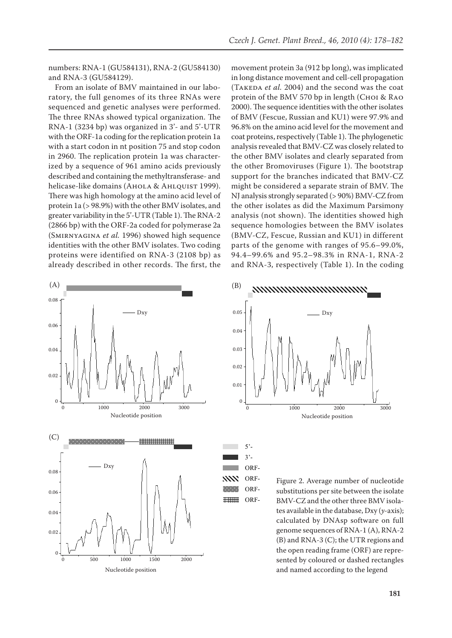numbers: RNA-1 (GU584131), RNA-2 (GU584130) and RNA-3 (GU584129).

From an isolate of BMV maintained in our laboratory, the full genomes of its three RNAs were sequenced and genetic analyses were performed. The three RNAs showed typical organization. The RNA-1 (3234 bp) was organized in 3'- and 5'-UTR with the ORF-1a coding for the replication protein 1a **A** with a start codon in nt position 75 and stop codon in 2960. The replication protein 1a was characterized by a sequence of 961 amino acids previously described and containing the methyltransferase- and helicase-like domains (AHOLA & AHLQUIST 1999). There was high homology at the amino acid level of protein 1a (> 98.9%) with the other BMV isolates, and greater variability in the 5'-UTR (Table 1). The RNA-2 (2866 bp) with the ORF-2a coded for polymerase 2a (Smirnyagina *et al.* 1996) showed high sequence identities with the other BMV isolates. Two coding proteins were identified on RNA-3 (2108 bp) as already described in other records. The first, the **A**



movement protein 3a (912 bp long), was implicated in long distance movement and cell-cell propagation (TAKEDA *et al.* 2004) and the second was the coat protein of the BMV 570 bp in length (CHOI & RAO 2000). The sequence identities with the other isolates of BMV (Fescue, Russian and KU1) were 97.9% and 96.8% on the amino acid level for the movement and coat proteins, respectively (Table 1). The phylogenetic analysis revealed that BMV-CZ was closely related to the other BMV isolates and clearly separated from the other Bromoviruses (Figure 1). The bootstrap support for the branches indicated that BMV-CZ might be considered a separate strain of BMV. The NJ analysis strongly separated (> 90%) BMV-CZ from the other isolates as did the Maximum Parsimony analysis (not shown). The identities showed high sequence homologies between the BMV isolates (BMV-CZ, Fescue, Russian and KU1) in different parts of the genome with ranges of 95.6–99.0%, 94.4–99.6% and 95.2–98.3% in RNA-1, RNA-2 and RNA-3, respectively (Table 1). In the coding



5'- 3'- ORF-ORF-ORF-ORF-

**XXXX WARDER HHHHH** 

Figure 2. Average number of nucleotide substitutions per site between the isolate BMV-CZ and the other three BMV isolates available in the database, Dxy (*y*-axis); calculated by DNAsp software on full genome sequences of RNA-1 (A), RNA-2 (B) and RNA-3 (C); the UTR regions and the open reading frame (ORF) are represented by coloured or dashed rectangles and named according to the legend ORF-ORF-